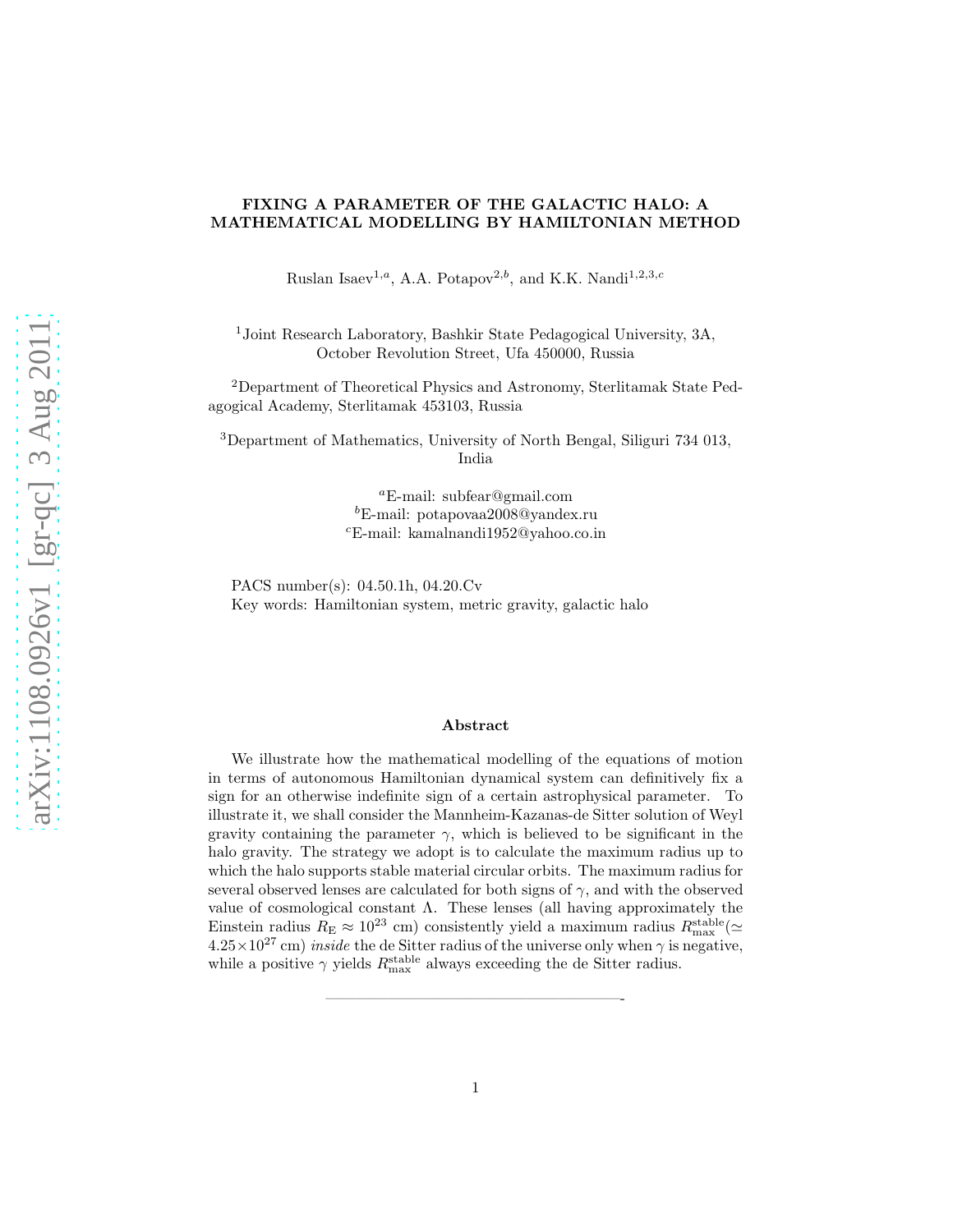# FIXING A PARAMETER OF THE GALACTIC HALO: A MATHEMATICAL MODELLING BY HAMILTONIAN METHOD

Ruslan Isaev<sup>1,a</sup>, A.A. Potapov<sup>2,b</sup>, and K.K. Nandi<sup>1,2,3,c</sup>

<sup>1</sup>Joint Research Laboratory, Bashkir State Pedagogical University, 3A, October Revolution Street, Ufa 450000, Russia

<sup>2</sup>Department of Theoretical Physics and Astronomy, Sterlitamak State Pedagogical Academy, Sterlitamak 453103, Russia

<sup>3</sup>Department of Mathematics, University of North Bengal, Siliguri 734 013, India

> <sup>a</sup>E-mail: subfear@gmail.com  ${}^{b}$ E-mail: potapovaa2008@yandex.ru <sup>c</sup>E-mail: kamalnandi1952@yahoo.co.in

PACS number(s): 04.50.1h, 04.20.Cv Key words: Hamiltonian system, metric gravity, galactic halo

## Abstract

We illustrate how the mathematical modelling of the equations of motion in terms of autonomous Hamiltonian dynamical system can definitively fix a sign for an otherwise indefinite sign of a certain astrophysical parameter. To illustrate it, we shall consider the Mannheim-Kazanas-de Sitter solution of Weyl gravity containing the parameter  $\gamma$ , which is believed to be significant in the halo gravity. The strategy we adopt is to calculate the maximum radius up to which the halo supports stable material circular orbits. The maximum radius for several observed lenses are calculated for both signs of  $\gamma$ , and with the observed value of cosmological constant  $\Lambda$ . These lenses (all having approximately the Einstein radius  $R_E \approx 10^{23}$  cm) consistently yield a maximum radius  $R_{\text{max}}^{\text{stable}}$  ( $\simeq$  $4.25\times10^{27}$  cm) *inside* the de Sitter radius of the universe only when  $\gamma$  is negative, while a positive  $\gamma$  yields  $R_{\text{max}}^{\text{stable}}$  always exceeding the de Sitter radius.

———————————————————-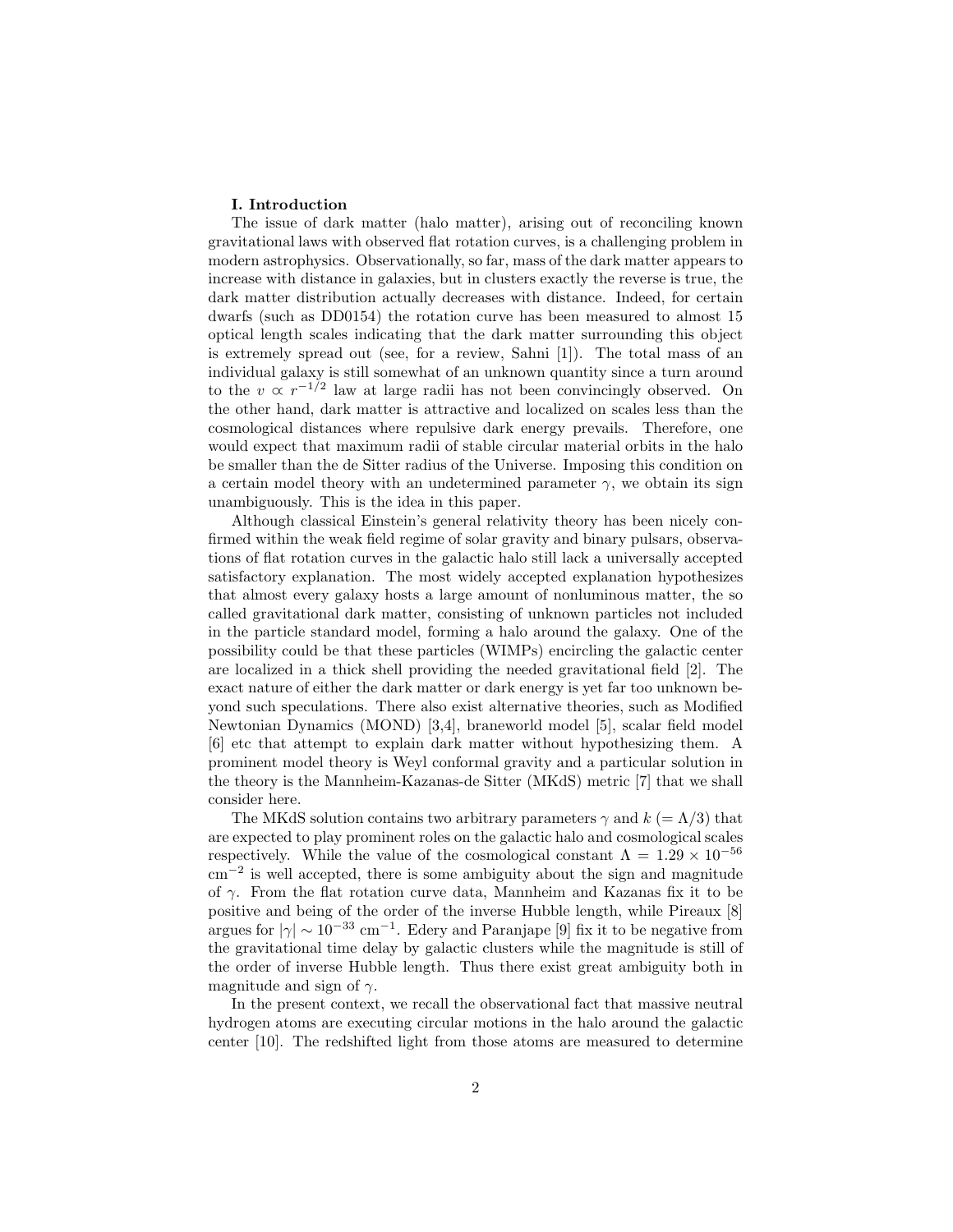## I. Introduction

The issue of dark matter (halo matter), arising out of reconciling known gravitational laws with observed flat rotation curves, is a challenging problem in modern astrophysics. Observationally, so far, mass of the dark matter appears to increase with distance in galaxies, but in clusters exactly the reverse is true, the dark matter distribution actually decreases with distance. Indeed, for certain dwarfs (such as DD0154) the rotation curve has been measured to almost 15 optical length scales indicating that the dark matter surrounding this object is extremely spread out (see, for a review, Sahni [1]). The total mass of an individual galaxy is still somewhat of an unknown quantity since a turn around to the  $v \propto r^{-1/2}$  law at large radii has not been convincingly observed. On the other hand, dark matter is attractive and localized on scales less than the cosmological distances where repulsive dark energy prevails. Therefore, one would expect that maximum radii of stable circular material orbits in the halo be smaller than the de Sitter radius of the Universe. Imposing this condition on a certain model theory with an undetermined parameter  $\gamma$ , we obtain its sign unambiguously. This is the idea in this paper.

Although classical Einstein's general relativity theory has been nicely confirmed within the weak field regime of solar gravity and binary pulsars, observations of flat rotation curves in the galactic halo still lack a universally accepted satisfactory explanation. The most widely accepted explanation hypothesizes that almost every galaxy hosts a large amount of nonluminous matter, the so called gravitational dark matter, consisting of unknown particles not included in the particle standard model, forming a halo around the galaxy. One of the possibility could be that these particles (WIMPs) encircling the galactic center are localized in a thick shell providing the needed gravitational field [2]. The exact nature of either the dark matter or dark energy is yet far too unknown beyond such speculations. There also exist alternative theories, such as Modified Newtonian Dynamics (MOND) [3,4], braneworld model [5], scalar field model [6] etc that attempt to explain dark matter without hypothesizing them. A prominent model theory is Weyl conformal gravity and a particular solution in the theory is the Mannheim-Kazanas-de Sitter (MKdS) metric [7] that we shall consider here.

The MKdS solution contains two arbitrary parameters  $\gamma$  and  $k (= \Lambda/3)$  that are expected to play prominent roles on the galactic halo and cosmological scales respectively. While the value of the cosmological constant  $\Lambda = 1.29 \times 10^{-56}$ cm−<sup>2</sup> is well accepted, there is some ambiguity about the sign and magnitude of  $\gamma$ . From the flat rotation curve data, Mannheim and Kazanas fix it to be positive and being of the order of the inverse Hubble length, while Pireaux [8] argues for  $|\gamma| \sim 10^{-33}$  cm<sup>-1</sup>. Edery and Paranjape [9] fix it to be negative from the gravitational time delay by galactic clusters while the magnitude is still of the order of inverse Hubble length. Thus there exist great ambiguity both in magnitude and sign of  $\gamma$ .

In the present context, we recall the observational fact that massive neutral hydrogen atoms are executing circular motions in the halo around the galactic center [10]. The redshifted light from those atoms are measured to determine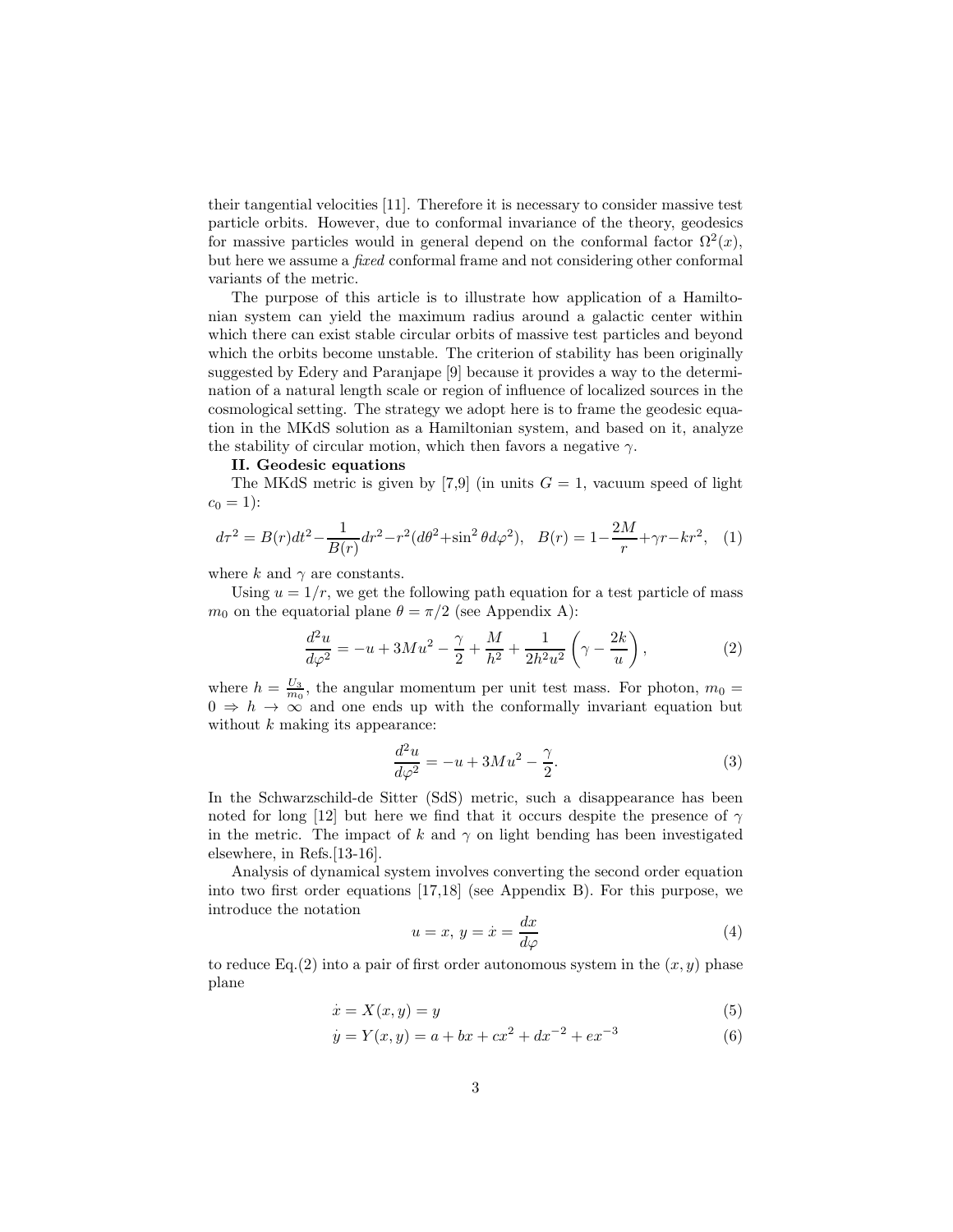their tangential velocities [11]. Therefore it is necessary to consider massive test particle orbits. However, due to conformal invariance of the theory, geodesics for massive particles would in general depend on the conformal factor  $\Omega^2(x)$ , but here we assume a fixed conformal frame and not considering other conformal variants of the metric.

The purpose of this article is to illustrate how application of a Hamiltonian system can yield the maximum radius around a galactic center within which there can exist stable circular orbits of massive test particles and beyond which the orbits become unstable. The criterion of stability has been originally suggested by Edery and Paranjape [9] because it provides a way to the determination of a natural length scale or region of influence of localized sources in the cosmological setting. The strategy we adopt here is to frame the geodesic equation in the MKdS solution as a Hamiltonian system, and based on it, analyze the stability of circular motion, which then favors a negative  $\gamma$ .

### II. Geodesic equations

The MKdS metric is given by [7,9] (in units  $G = 1$ , vacuum speed of light  $c_0 = 1$ :

$$
d\tau^2 = B(r)dt^2 - \frac{1}{B(r)}dr^2 - r^2(d\theta^2 + \sin^2\theta d\varphi^2), \quad B(r) = 1 - \frac{2M}{r} + \gamma r - kr^2, \quad (1)
$$

where k and  $\gamma$  are constants.

Using  $u = 1/r$ , we get the following path equation for a test particle of mass  $m_0$  on the equatorial plane  $\theta = \pi/2$  (see Appendix A):

$$
\frac{d^2u}{d\varphi^2} = -u + 3Mu^2 - \frac{\gamma}{2} + \frac{M}{h^2} + \frac{1}{2h^2u^2} \left(\gamma - \frac{2k}{u}\right),\tag{2}
$$

where  $h = \frac{U_3}{m_0}$ , the angular momentum per unit test mass. For photon,  $m_0 =$  $0 \Rightarrow h \rightarrow \infty$  and one ends up with the conformally invariant equation but without  $k$  making its appearance:

$$
\frac{d^2u}{d\varphi^2} = -u + 3Mu^2 - \frac{\gamma}{2}.
$$
 (3)

In the Schwarzschild-de Sitter (SdS) metric, such a disappearance has been noted for long [12] but here we find that it occurs despite the presence of  $\gamma$ in the metric. The impact of k and  $\gamma$  on light bending has been investigated elsewhere, in Refs.[13-16].

Analysis of dynamical system involves converting the second order equation into two first order equations [17,18] (see Appendix B). For this purpose, we introduce the notation

$$
u = x, y = \dot{x} = \frac{dx}{d\varphi} \tag{4}
$$

to reduce Eq.(2) into a pair of first order autonomous system in the  $(x, y)$  phase plane

$$
\dot{x} = X(x, y) = y \tag{5}
$$

$$
\dot{y} = Y(x, y) = a + bx + cx^{2} + dx^{-2} + ex^{-3}
$$
\n(6)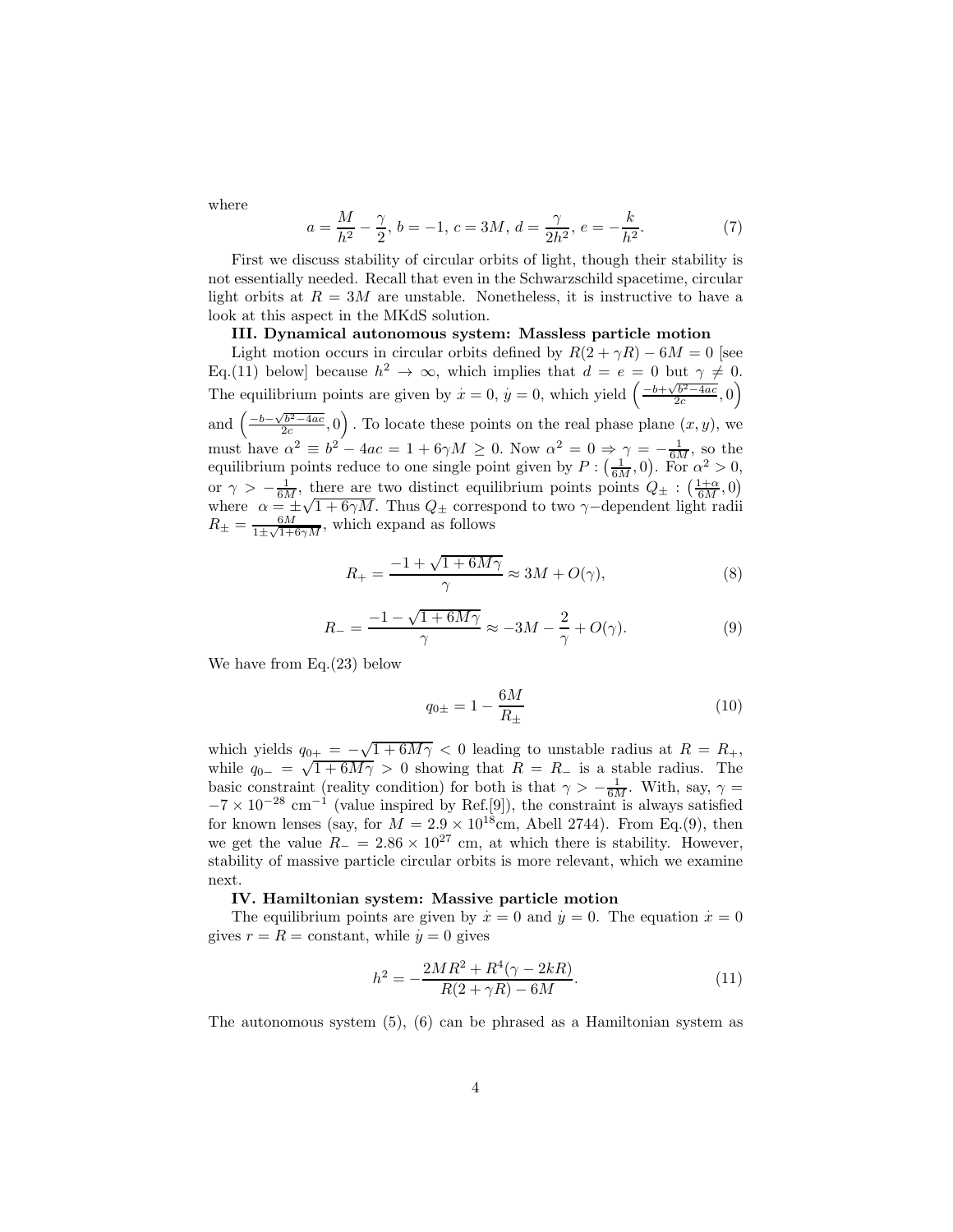where

$$
a = \frac{M}{h^2} - \frac{\gamma}{2}, \, b = -1, \, c = 3M, \, d = \frac{\gamma}{2h^2}, \, e = -\frac{k}{h^2}.\tag{7}
$$

First we discuss stability of circular orbits of light, though their stability is not essentially needed. Recall that even in the Schwarzschild spacetime, circular light orbits at  $R = 3M$  are unstable. Nonetheless, it is instructive to have a look at this aspect in the MKdS solution.

## III. Dynamical autonomous system: Massless particle motion

Light motion occurs in circular orbits defined by  $R(2 + \gamma R) - 6M = 0$  [see Eq.(11) below] because  $h^2 \to \infty$ , which implies that  $d = e = 0$  but  $\gamma \neq 0$ . The equilibrium points are given by  $\dot{x} = 0$ ,  $\dot{y} = 0$ , which yield  $\left(\frac{-b + \sqrt{b^2 - 4ac}}{2c}, 0\right)$ and  $\left(\frac{-b-\sqrt{b^2-4ac}}{2c},0\right)$ . To locate these points on the real phase plane  $(x, y)$ , we must have  $\alpha^2 \equiv b^2 - 4ac = 1 + 6\gamma M \ge 0$ . Now  $\alpha^2 = 0 \Rightarrow \gamma = -\frac{1}{6M}$ , so the equilibrium points reduce to one single point given by  $P: (\frac{1}{6M}, 0)$ . For  $\alpha^2 > 0$ , or  $\gamma > -\frac{1}{6M}$ , there are two distinct equilibrium points points  $Q_{\pm} : (\frac{1+\alpha}{6M}, 0)$ where  $\alpha = \frac{1}{\epsilon M} \sqrt{1 + 6\gamma M}$ . Thus  $Q_{\pm}$  correspond to two  $\gamma$ -dependent light radii  $R_{\pm} = \frac{6M}{1 \pm \sqrt{1 + 1}}$  $\frac{6M}{1 \pm \sqrt{1+6\gamma M}}$ , which expand as follows

$$
R_{+} = \frac{-1 + \sqrt{1 + 6M\gamma}}{\gamma} \approx 3M + O(\gamma),\tag{8}
$$

$$
R_{-} = \frac{-1 - \sqrt{1 + 6M\gamma}}{\gamma} \approx -3M - \frac{2}{\gamma} + O(\gamma). \tag{9}
$$

We have from Eq.(23) below

$$
q_{0\pm} = 1 - \frac{6M}{R_{\pm}}\tag{10}
$$

which yields  $q_{0+} = -\sqrt{1+6M\gamma} < 0$  leading to unstable radius at  $R = R_+$ , while  $q_{0-} = \sqrt{1 + 6M\gamma} > 0$  showing that  $R = R_-\$  is a stable radius. The basic constraint (reality condition) for both is that  $\gamma > -\frac{1}{6M}$ . With, say,  $\gamma =$  $-7 \times 10^{-28}$  cm<sup>-1</sup> (value inspired by Ref.[9]), the constraint is always satisfied for known lenses (say, for  $M = 2.9 \times 10^{18}$ cm, Abell 2744). From Eq.(9), then we get the value  $R_ = 2.86 \times 10^{27}$  cm, at which there is stability. However, stability of massive particle circular orbits is more relevant, which we examine next.

## IV. Hamiltonian system: Massive particle motion

The equilibrium points are given by  $\dot{x} = 0$  and  $\dot{y} = 0$ . The equation  $\dot{x} = 0$ gives  $r = R = \text{constant}$ , while  $y = 0$  gives

$$
h^{2} = -\frac{2MR^{2} + R^{4}(\gamma - 2kR)}{R(2 + \gamma R) - 6M}.
$$
\n(11)

The autonomous system (5), (6) can be phrased as a Hamiltonian system as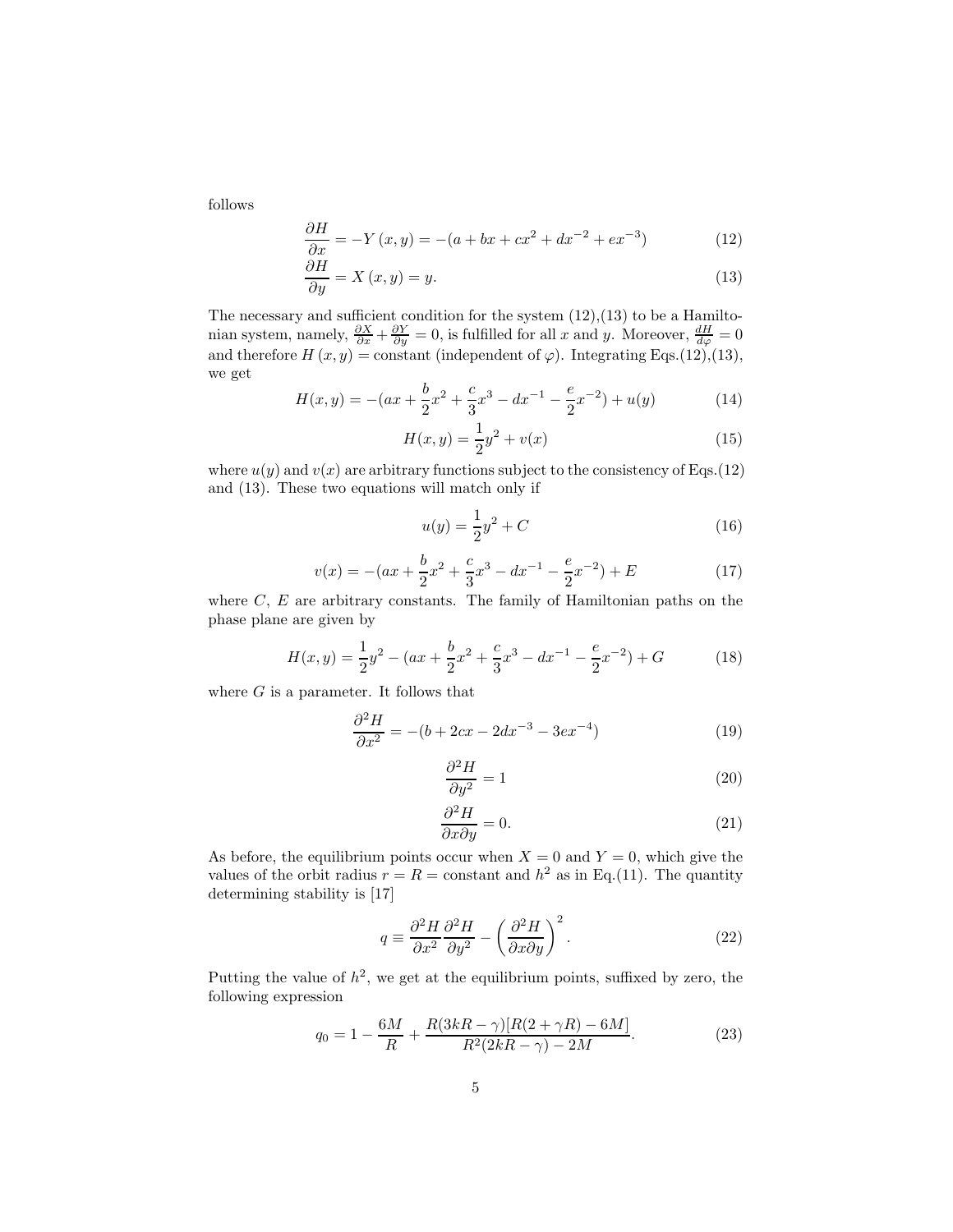follows

$$
\frac{\partial H}{\partial x} = -Y(x, y) = -(a + bx + cx^{2} + dx^{-2} + ex^{-3})
$$
\n(12)

$$
\frac{\partial H}{\partial y} = X(x, y) = y.
$$
\n(13)

The necessary and sufficient condition for the system  $(12),(13)$  to be a Hamiltonian system, namely,  $\frac{\partial X}{\partial x} + \frac{\partial Y}{\partial y} = 0$ , is fulfilled for all x and y. Moreover,  $\frac{dH}{d\varphi} = 0$ and therefore  $H(x, y) = \text{constant}$  (independent of  $\varphi$ ). Integrating Eqs.(12),(13), we get

$$
H(x,y) = -(ax + \frac{b}{2}x^{2} + \frac{c}{3}x^{3} - dx^{-1} - \frac{e}{2}x^{-2}) + u(y)
$$
 (14)

$$
H(x,y) = \frac{1}{2}y^2 + v(x)
$$
 (15)

where  $u(y)$  and  $v(x)$  are arbitrary functions subject to the consistency of Eqs.(12) and (13). These two equations will match only if

$$
u(y) = \frac{1}{2}y^2 + C
$$
 (16)

$$
v(x) = -(ax + \frac{b}{2}x^{2} + \frac{c}{3}x^{3} - dx^{-1} - \frac{e}{2}x^{-2}) + E
$$
 (17)

where  $C, E$  are arbitrary constants. The family of Hamiltonian paths on the phase plane are given by

$$
H(x,y) = \frac{1}{2}y^2 - (ax + \frac{b}{2}x^2 + \frac{c}{3}x^3 - dx^{-1} - \frac{e}{2}x^{-2}) + G
$$
 (18)

where  $G$  is a parameter. It follows that

$$
\frac{\partial^2 H}{\partial x^2} = -(b + 2cx - 2dx^{-3} - 3ex^{-4})
$$
\n(19)

$$
\frac{\partial^2 H}{\partial y^2} = 1\tag{20}
$$

$$
\frac{\partial^2 H}{\partial x \partial y} = 0.
$$
\n(21)

As before, the equilibrium points occur when  $X = 0$  and  $Y = 0$ , which give the values of the orbit radius  $r = R = \text{constant}$  and  $h^2$  as in Eq.(11). The quantity determining stability is [17]

$$
q \equiv \frac{\partial^2 H}{\partial x^2} \frac{\partial^2 H}{\partial y^2} - \left(\frac{\partial^2 H}{\partial x \partial y}\right)^2.
$$
 (22)

Putting the value of  $h^2$ , we get at the equilibrium points, suffixed by zero, the following expression

$$
q_0 = 1 - \frac{6M}{R} + \frac{R(3kR - \gamma)[R(2 + \gamma R) - 6M]}{R^2(2kR - \gamma) - 2M}.
$$
 (23)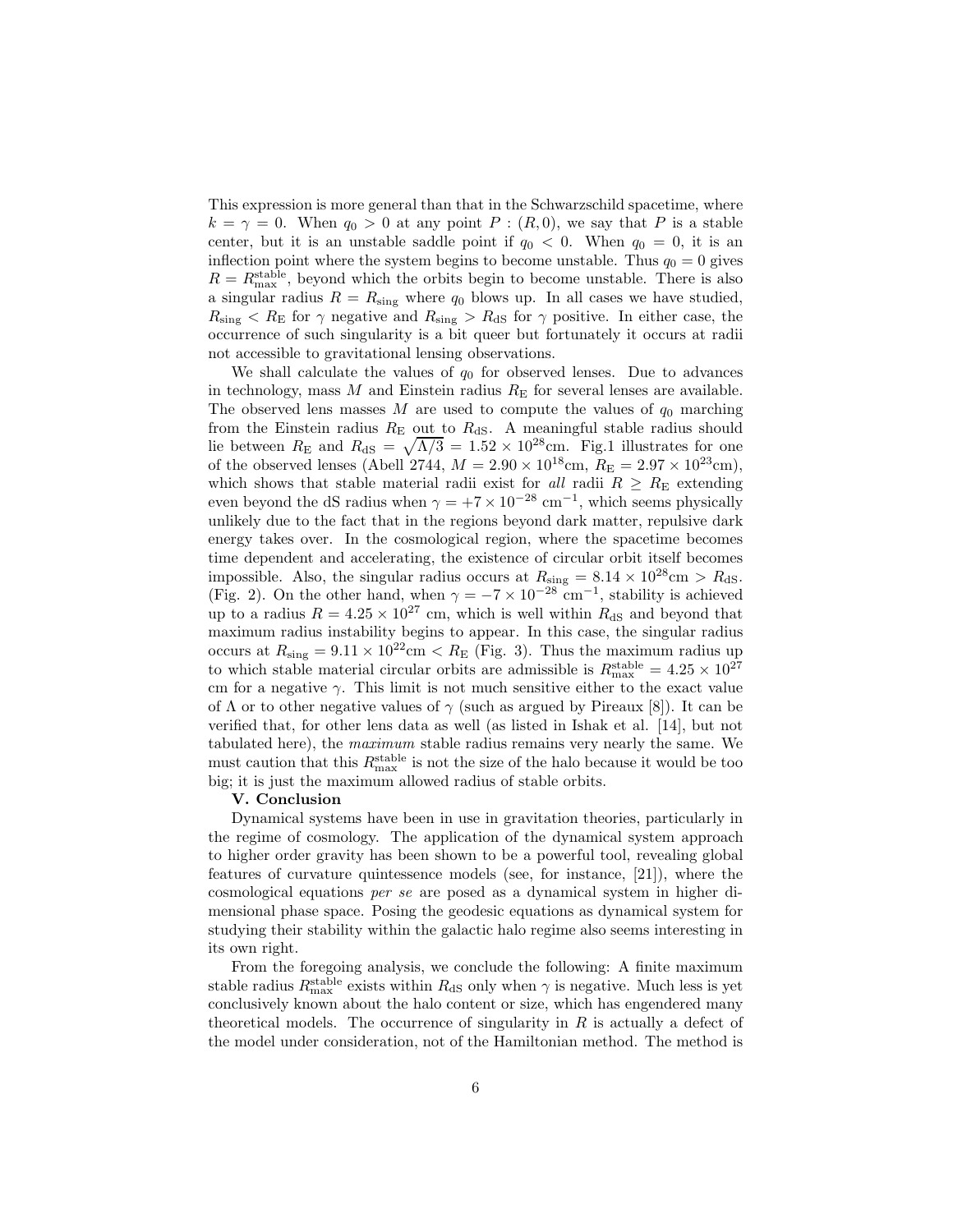This expression is more general than that in the Schwarzschild spacetime, where  $k = \gamma = 0$ . When  $q_0 > 0$  at any point  $P : (R, 0)$ , we say that P is a stable center, but it is an unstable saddle point if  $q_0 < 0$ . When  $q_0 = 0$ , it is an inflection point where the system begins to become unstable. Thus  $q_0 = 0$  gives  $R = R_{\text{max}}^{\text{stable}}$ , beyond which the orbits begin to become unstable. There is also a singular radius  $R = R_{sing}$  where  $q_0$  blows up. In all cases we have studied,  $R_{\text{sing}} < R_{\text{E}}$  for  $\gamma$  negative and  $R_{\text{sing}} > R_{\text{dS}}$  for  $\gamma$  positive. In either case, the occurrence of such singularity is a bit queer but fortunately it occurs at radii not accessible to gravitational lensing observations.

We shall calculate the values of  $q_0$  for observed lenses. Due to advances in technology, mass  $M$  and Einstein radius  $R_{\rm E}$  for several lenses are available. The observed lens masses M are used to compute the values of  $q_0$  marching from the Einstein radius  $R_{\rm E}$  out to  $R_{\rm dS}$ . A meaningful stable radius should lie between  $R_{\rm E}$  and  $R_{\rm dS} = \sqrt{\Lambda/3} = 1.52 \times 10^{28} \text{cm}$ . Fig.1 illustrates for one of the observed lenses (Abell 2744,  $M = 2.90 \times 10^{18}$ cm,  $R_E = 2.97 \times 10^{23}$ cm), which shows that stable material radii exist for all radii  $R \geq R_{\rm E}$  extending even beyond the dS radius when  $\gamma = +7 \times 10^{-28}$  cm<sup>-1</sup>, which seems physically unlikely due to the fact that in the regions beyond dark matter, repulsive dark energy takes over. In the cosmological region, where the spacetime becomes time dependent and accelerating, the existence of circular orbit itself becomes impossible. Also, the singular radius occurs at  $R_{\text{sing}} = 8.14 \times 10^{28} \text{cm} > R_{\text{dS}}$ . (Fig. 2). On the other hand, when  $\gamma = -7 \times 10^{-28}$  cm<sup>-1</sup>, stability is achieved up to a radius  $R = 4.25 \times 10^{27}$  cm, which is well within  $R_{dS}$  and beyond that maximum radius instability begins to appear. In this case, the singular radius occurs at  $R_{\text{sing}} = 9.11 \times 10^{22}$ cm  $\lt R_{\text{E}}$  (Fig. 3). Thus the maximum radius up to which stable material circular orbits are admissible is  $R_{\text{max}}^{\text{stable}} = 4.25 \times 10^{27}$ cm for a negative  $\gamma$ . This limit is not much sensitive either to the exact value of  $\Lambda$  or to other negative values of  $\gamma$  (such as argued by Pireaux [8]). It can be verified that, for other lens data as well (as listed in Ishak et al. [14], but not tabulated here), the maximum stable radius remains very nearly the same. We must caution that this  $R_{\text{max}}^{\text{stable}}$  is not the size of the halo because it would be too big; it is just the maximum allowed radius of stable orbits.

#### V. Conclusion

Dynamical systems have been in use in gravitation theories, particularly in the regime of cosmology. The application of the dynamical system approach to higher order gravity has been shown to be a powerful tool, revealing global features of curvature quintessence models (see, for instance, [21]), where the cosmological equations per se are posed as a dynamical system in higher dimensional phase space. Posing the geodesic equations as dynamical system for studying their stability within the galactic halo regime also seems interesting in its own right.

From the foregoing analysis, we conclude the following: A finite maximum stable radius  $R_{\text{max}}^{\text{stable}}$  exists within  $R_{\text{dS}}$  only when  $\gamma$  is negative. Much less is yet conclusively known about the halo content or size, which has engendered many theoretical models. The occurrence of singularity in  $R$  is actually a defect of the model under consideration, not of the Hamiltonian method. The method is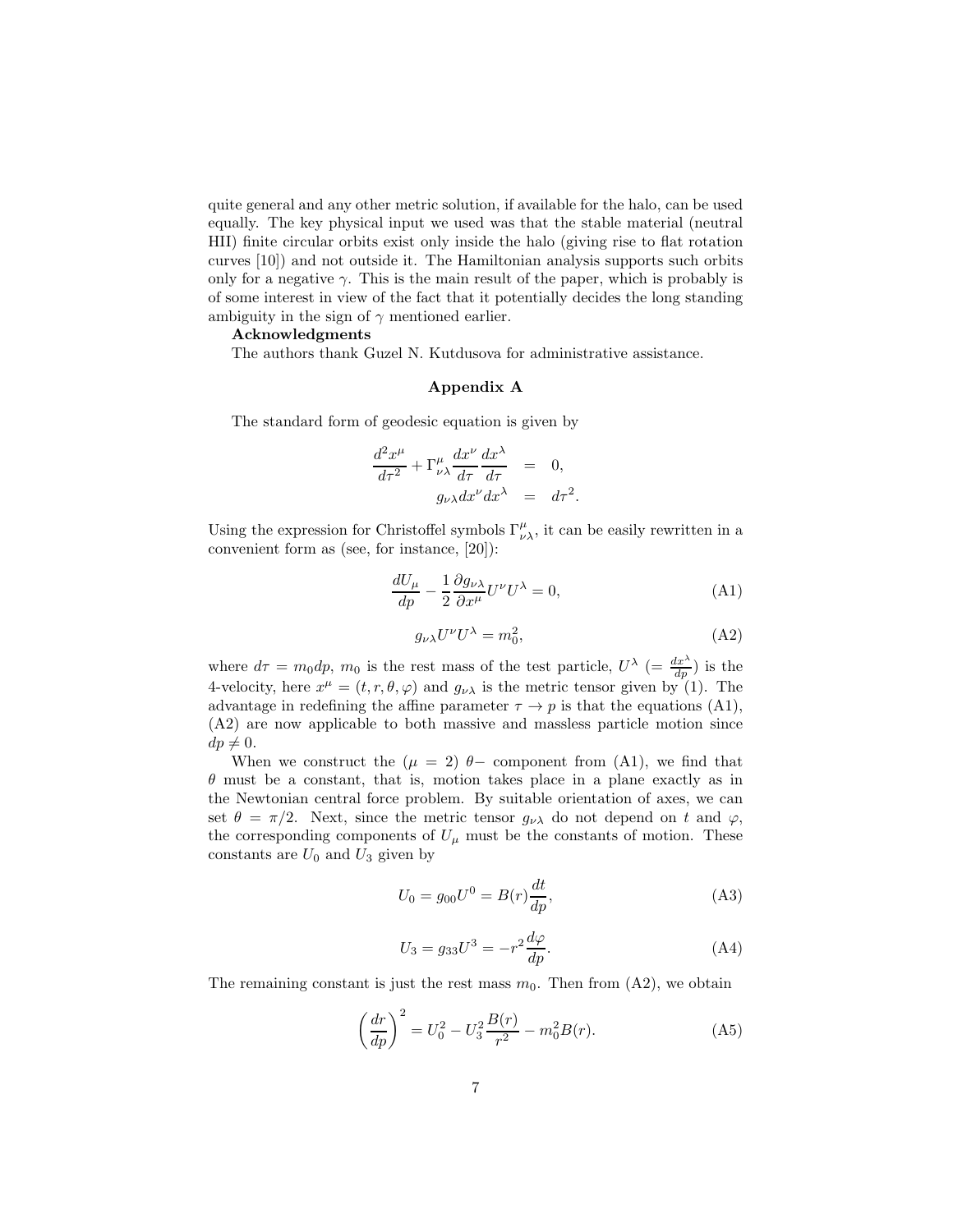quite general and any other metric solution, if available for the halo, can be used equally. The key physical input we used was that the stable material (neutral HII) finite circular orbits exist only inside the halo (giving rise to flat rotation curves [10]) and not outside it. The Hamiltonian analysis supports such orbits only for a negative  $\gamma$ . This is the main result of the paper, which is probably is of some interest in view of the fact that it potentially decides the long standing ambiguity in the sign of  $\gamma$  mentioned earlier.

## Acknowledgments

The authors thank Guzel N. Kutdusova for administrative assistance.

### Appendix A

The standard form of geodesic equation is given by

$$
\frac{d^2x^{\mu}}{d\tau^2} + \Gamma^{\mu}_{\nu\lambda} \frac{dx^{\nu}}{d\tau} \frac{dx^{\lambda}}{d\tau} = 0,
$$
  
\n
$$
g_{\nu\lambda} dx^{\nu} dx^{\lambda} = d\tau^2
$$

Using the expression for Christoffel symbols  $\Gamma^\mu_{\nu\lambda},$  it can be easily rewritten in a convenient form as (see, for instance, [20]):

$$
\frac{dU_{\mu}}{dp} - \frac{1}{2} \frac{\partial g_{\nu\lambda}}{\partial x^{\mu}} U^{\nu} U^{\lambda} = 0,
$$
\n(A1)

.

$$
g_{\nu\lambda}U^{\nu}U^{\lambda} = m_0^2, \tag{A2}
$$

where  $d\tau = m_0 dp$ ,  $m_0$  is the rest mass of the test particle,  $U^{\lambda}$  (=  $\frac{dx^{\lambda}}{dp}$ ) is the 4-velocity, here  $x^{\mu} = (t, r, \theta, \varphi)$  and  $g_{\nu\lambda}$  is the metric tensor given by (1). The advantage in redefining the affine parameter  $\tau \to p$  is that the equations (A1), (A2) are now applicable to both massive and massless particle motion since  $dp \neq 0.$ 

When we construct the  $(\mu = 2)$   $\theta$ - component from (A1), we find that  $\theta$  must be a constant, that is, motion takes place in a plane exactly as in the Newtonian central force problem. By suitable orientation of axes, we can set  $\theta = \pi/2$ . Next, since the metric tensor  $g_{\nu\lambda}$  do not depend on t and  $\varphi$ , the corresponding components of  $U_{\mu}$  must be the constants of motion. These constants are  $U_0$  and  $U_3$  given by

$$
U_0 = g_{00}U^0 = B(r)\frac{dt}{dp},
$$
\n(A3)

$$
U_3 = g_{33}U^3 = -r^2 \frac{d\varphi}{dp}.
$$
 (A4)

The remaining constant is just the rest mass  $m_0$ . Then from  $(A2)$ , we obtain

$$
\left(\frac{dr}{dp}\right)^2 = U_0^2 - U_3^2 \frac{B(r)}{r^2} - m_0^2 B(r).
$$
 (A5)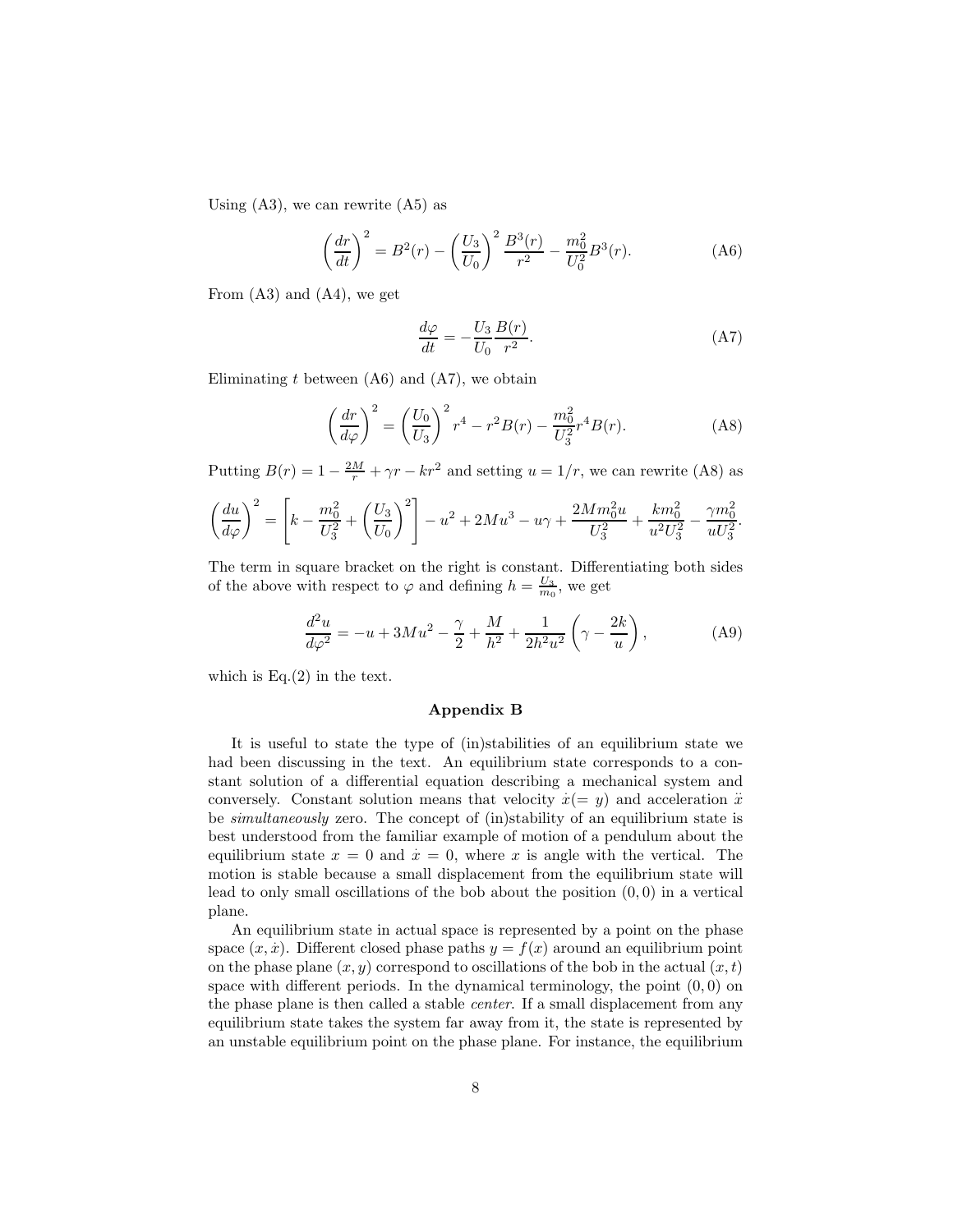Using  $(A3)$ , we can rewrite  $(A5)$  as

$$
\left(\frac{dr}{dt}\right)^2 = B^2(r) - \left(\frac{U_3}{U_0}\right)^2 \frac{B^3(r)}{r^2} - \frac{m_0^2}{U_0^2} B^3(r). \tag{A6}
$$

From (A3) and (A4), we get

$$
\frac{d\varphi}{dt} = -\frac{U_3}{U_0} \frac{B(r)}{r^2}.\tag{A7}
$$

Eliminating  $t$  between  $(A6)$  and  $(A7)$ , we obtain

$$
\left(\frac{dr}{d\varphi}\right)^2 = \left(\frac{U_0}{U_3}\right)^2 r^4 - r^2 B(r) - \frac{m_0^2}{U_3^2} r^4 B(r). \tag{A8}
$$

Putting  $B(r) = 1 - \frac{2M}{r} + \gamma r - kr^2$  and setting  $u = 1/r$ , we can rewrite (A8) as

$$
\left(\frac{du}{d\varphi}\right)^2 = \left[k - \frac{m_0^2}{U_3^2} + \left(\frac{U_3}{U_0}\right)^2\right] - u^2 + 2Mu^3 - u\gamma + \frac{2Mm_0^2u}{U_3^2} + \frac{km_0^2}{u^2U_3^2} - \frac{\gamma m_0^2}{uU_3^2}.
$$

The term in square bracket on the right is constant. Differentiating both sides of the above with respect to  $\varphi$  and defining  $h = \frac{U_3}{m_0}$ , we get

$$
\frac{d^2u}{d\varphi^2} = -u + 3Mu^2 - \frac{\gamma}{2} + \frac{M}{h^2} + \frac{1}{2h^2u^2} \left(\gamma - \frac{2k}{u}\right),\tag{A9}
$$

which is  $Eq.(2)$  in the text.

## Appendix B

It is useful to state the type of (in)stabilities of an equilibrium state we had been discussing in the text. An equilibrium state corresponds to a constant solution of a differential equation describing a mechanical system and conversely. Constant solution means that velocity  $\dot{x} (= y)$  and acceleration  $\ddot{x}$ be simultaneously zero. The concept of (in)stability of an equilibrium state is best understood from the familiar example of motion of a pendulum about the equilibrium state  $x = 0$  and  $\dot{x} = 0$ , where x is angle with the vertical. The motion is stable because a small displacement from the equilibrium state will lead to only small oscillations of the bob about the position  $(0, 0)$  in a vertical plane.

An equilibrium state in actual space is represented by a point on the phase space  $(x, x)$ . Different closed phase paths  $y = f(x)$  around an equilibrium point on the phase plane  $(x, y)$  correspond to oscillations of the bob in the actual  $(x, t)$ space with different periods. In the dynamical terminology, the point  $(0, 0)$  on the phase plane is then called a stable center. If a small displacement from any equilibrium state takes the system far away from it, the state is represented by an unstable equilibrium point on the phase plane. For instance, the equilibrium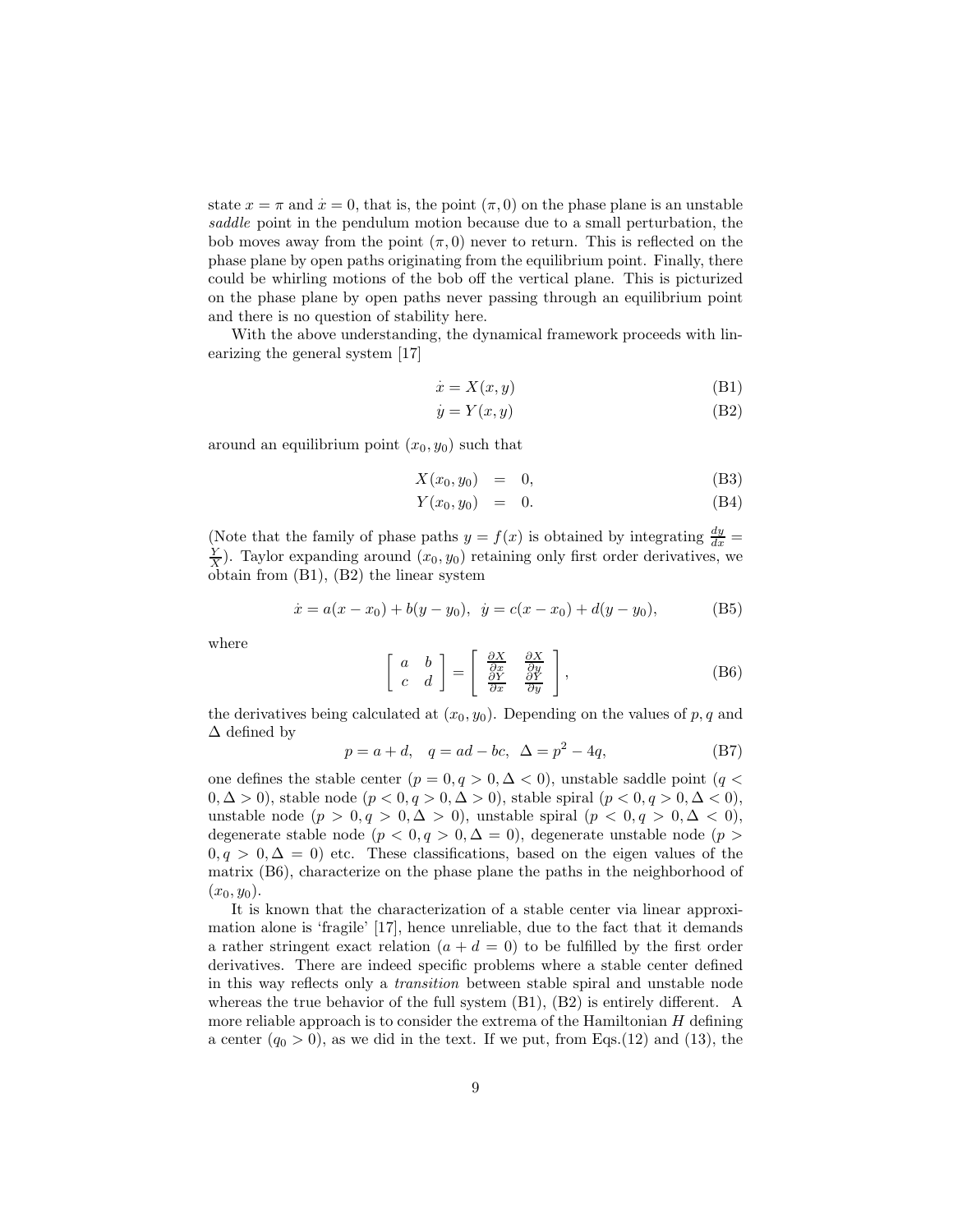state  $x = \pi$  and  $\dot{x} = 0$ , that is, the point  $(\pi, 0)$  on the phase plane is an unstable saddle point in the pendulum motion because due to a small perturbation, the bob moves away from the point  $(\pi, 0)$  never to return. This is reflected on the phase plane by open paths originating from the equilibrium point. Finally, there could be whirling motions of the bob off the vertical plane. This is picturized on the phase plane by open paths never passing through an equilibrium point and there is no question of stability here.

With the above understanding, the dynamical framework proceeds with linearizing the general system [17]

$$
\dot{x} = X(x, y) \tag{B1}
$$

$$
\dot{y} = Y(x, y) \tag{B2}
$$

around an equilibrium point  $(x_0, y_0)$  such that

$$
X(x_0, y_0) = 0, \tag{B3}
$$

$$
Y(x_0, y_0) = 0. \t\t (B4)
$$

(Note that the family of phase paths  $y = f(x)$  is obtained by integrating  $\frac{dy}{dx} =$  $\frac{Y}{X}$ ). Taylor expanding around  $(x_0, y_0)$  retaining only first order derivatives, we obtain from (B1), (B2) the linear system

$$
\dot{x} = a(x - x_0) + b(y - y_0), \quad \dot{y} = c(x - x_0) + d(y - y_0),
$$
 (B5)

where

$$
\begin{bmatrix} a & b \\ c & d \end{bmatrix} = \begin{bmatrix} \frac{\partial X}{\partial x} & \frac{\partial X}{\partial y} \\ \frac{\partial Y}{\partial x} & \frac{\partial Y}{\partial y} \end{bmatrix},
$$
 (B6)

the derivatives being calculated at  $(x_0, y_0)$ . Depending on the values of p, q and ∆ defined by

$$
p = a + d, \quad q = ad - bc, \quad \Delta = p^2 - 4q,
$$
 (B7)

one defines the stable center  $(p = 0, q > 0, \Delta < 0)$ , unstable saddle point  $(q <$  $(0, \Delta > 0)$ , stable node  $(p < 0, q > 0, \Delta > 0)$ , stable spiral  $(p < 0, q > 0, \Delta < 0)$ , unstable node  $(p > 0, q > 0, \Delta > 0)$ , unstable spiral  $(p < 0, q > 0, \Delta < 0)$ , degenerate stable node ( $p < 0, q > 0, \Delta = 0$ ), degenerate unstable node ( $p >$  $0, q > 0, \Delta = 0$ ) etc. These classifications, based on the eigen values of the matrix (B6), characterize on the phase plane the paths in the neighborhood of  $(x_0, y_0)$ .

It is known that the characterization of a stable center via linear approximation alone is 'fragile' [17], hence unreliable, due to the fact that it demands a rather stringent exact relation  $(a + d = 0)$  to be fulfilled by the first order derivatives. There are indeed specific problems where a stable center defined in this way reflects only a transition between stable spiral and unstable node whereas the true behavior of the full system  $(B1)$ ,  $(B2)$  is entirely different. A more reliable approach is to consider the extrema of the Hamiltonian  $H$  defining a center  $(q_0 > 0)$ , as we did in the text. If we put, from Eqs.(12) and (13), the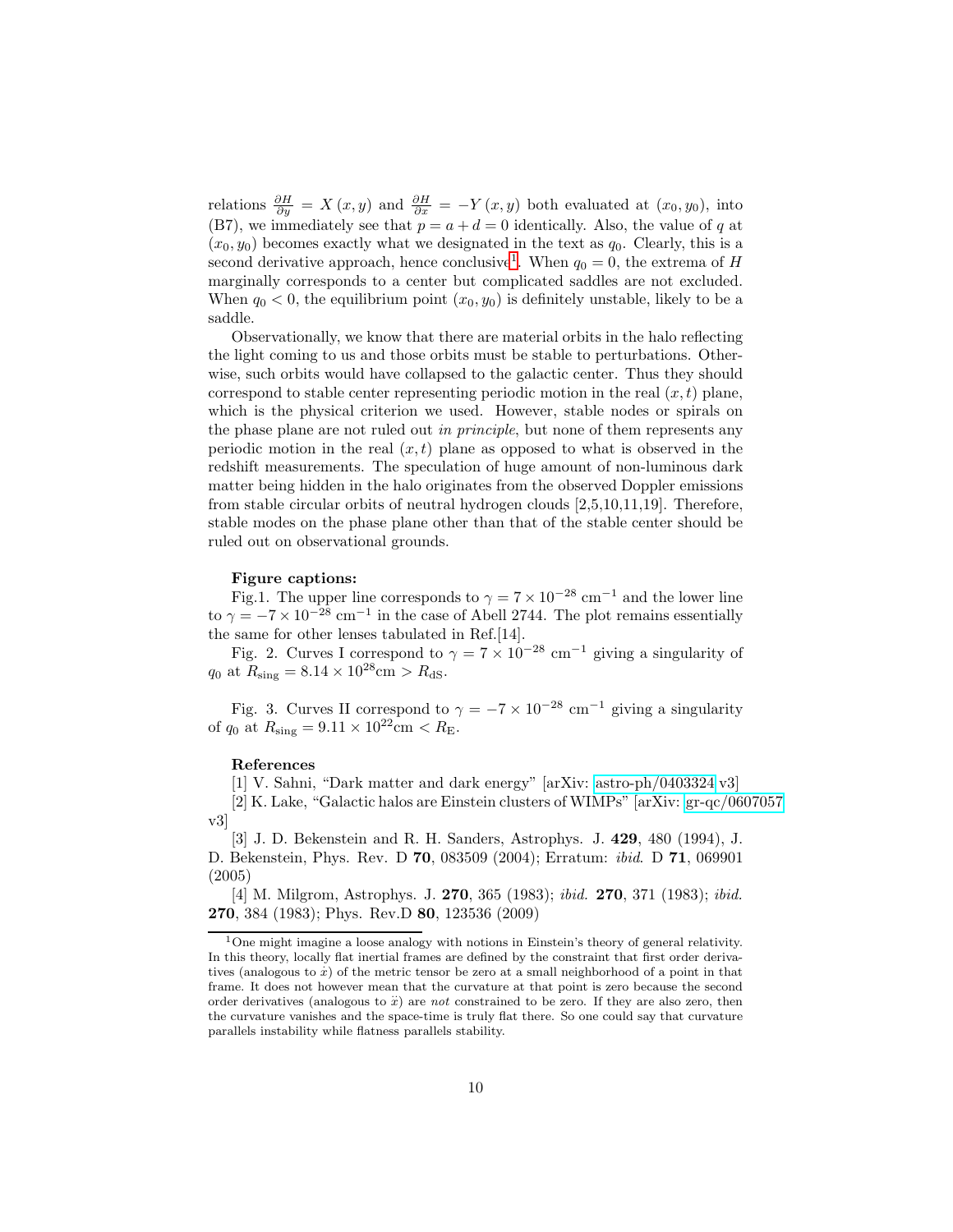relations  $\frac{\partial H}{\partial y} = X(x, y)$  and  $\frac{\partial H}{\partial x} = -Y(x, y)$  both evaluated at  $(x_0, y_0)$ , into (B7), we immediately see that  $p = a + d = 0$  identically. Also, the value of q at  $(x_0, y_0)$  becomes exactly what we designated in the text as  $q_0$ . Clearly, this is a second derivative approach, hence conclusive<sup>[1](#page-9-0)</sup>. When  $q_0 = 0$ , the extrema of H marginally corresponds to a center but complicated saddles are not excluded. When  $q_0 < 0$ , the equilibrium point  $(x_0, y_0)$  is definitely unstable, likely to be a saddle.

Observationally, we know that there are material orbits in the halo reflecting the light coming to us and those orbits must be stable to perturbations. Otherwise, such orbits would have collapsed to the galactic center. Thus they should correspond to stable center representing periodic motion in the real  $(x, t)$  plane, which is the physical criterion we used. However, stable nodes or spirals on the phase plane are not ruled out in principle, but none of them represents any periodic motion in the real  $(x, t)$  plane as opposed to what is observed in the redshift measurements. The speculation of huge amount of non-luminous dark matter being hidden in the halo originates from the observed Doppler emissions from stable circular orbits of neutral hydrogen clouds [2,5,10,11,19]. Therefore, stable modes on the phase plane other than that of the stable center should be ruled out on observational grounds.

#### Figure captions:

Fig.1. The upper line corresponds to  $\gamma = 7 \times 10^{-28}$  cm<sup>-1</sup> and the lower line to  $\gamma = -7 \times 10^{-28}$  cm<sup>-1</sup> in the case of Abell 2744. The plot remains essentially the same for other lenses tabulated in Ref.[14].

Fig. 2. Curves I correspond to  $\gamma = 7 \times 10^{-28}$  cm<sup>-1</sup> giving a singularity of  $q_0$  at  $R_{\text{sing}} = 8.14 \times 10^{28}$ cm >  $R_{\text{dS}}$ .

Fig. 3. Curves II correspond to  $\gamma = -7 \times 10^{-28}$  cm<sup>-1</sup> giving a singularity of  $q_0$  at  $R_{\text{sing}} = 9.11 \times 10^{22} \text{cm} < R_{\text{E}}$ .

### References

[1] V. Sahni, "Dark matter and dark energy" [arXiv: [astro-ph/0403324](http://arxiv.org/abs/astro-ph/0403324) v3]

[2] K. Lake, "Galactic halos are Einstein clusters of WIMPs" [arXiv: [gr-qc/0607057](http://arxiv.org/abs/gr-qc/0607057) v3]

[3] J. D. Bekenstein and R. H. Sanders, Astrophys. J. 429, 480 (1994), J. D. Bekenstein, Phys. Rev. D 70, 083509 (2004); Erratum: ibid. D 71, 069901 (2005)

[4] M. Milgrom, Astrophys. J. 270, 365 (1983); ibid. 270, 371 (1983); ibid. 270, 384 (1983); Phys. Rev.D 80, 123536 (2009)

<span id="page-9-0"></span><sup>1</sup>One might imagine a loose analogy with notions in Einstein's theory of general relativity. In this theory, locally flat inertial frames are defined by the constraint that first order derivatives (analogous to  $\dot{x}$ ) of the metric tensor be zero at a small neighborhood of a point in that frame. It does not however mean that the curvature at that point is zero because the second order derivatives (analogous to  $\ddot{x}$ ) are not constrained to be zero. If they are also zero, then the curvature vanishes and the space-time is truly flat there. So one could say that curvature parallels instability while flatness parallels stability.